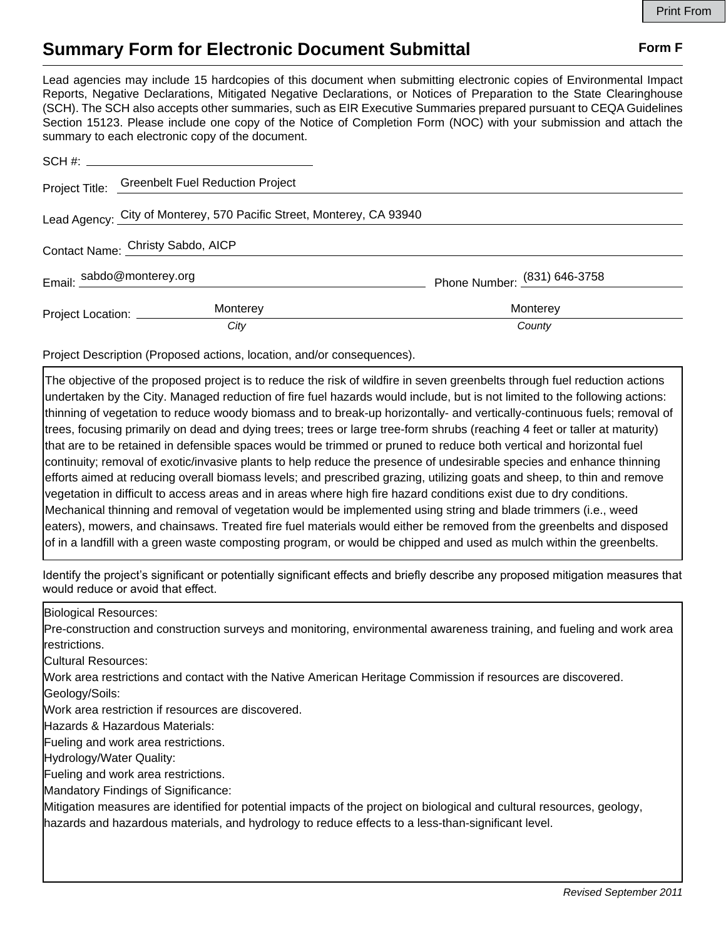## **Summary Form for Electronic Document Submittal Form F Form F**

Lead agencies may include 15 hardcopies of this document when submitting electronic copies of Environmental Impact Reports, Negative Declarations, Mitigated Negative Declarations, or Notices of Preparation to the State Clearinghouse (SCH). The SCH also accepts other summaries, such as EIR Executive Summaries prepared pursuant to CEQA Guidelines Section 15123. Please include one copy of the Notice of Completion Form (NOC) with your submission and attach the summary to each electronic copy of the document.

|                                                                       | Project Title: Greenbelt Fuel Reduction Project |                              |
|-----------------------------------------------------------------------|-------------------------------------------------|------------------------------|
| Lead Agency: City of Monterey, 570 Pacific Street, Monterey, CA 93940 |                                                 |                              |
| Contact Name: Christy Sabdo, AICP                                     |                                                 |                              |
|                                                                       | Email: sabdo@monterey.org                       | Phone Number: (831) 646-3758 |
|                                                                       | Monterey<br>Project Location: ____________      | Monterey                     |
|                                                                       | City                                            | County                       |

Project Description (Proposed actions, location, and/or consequences).

The objective of the proposed project is to reduce the risk of wildfire in seven greenbelts through fuel reduction actions undertaken by the City. Managed reduction of fire fuel hazards would include, but is not limited to the following actions: thinning of vegetation to reduce woody biomass and to break-up horizontally- and vertically-continuous fuels; removal of trees, focusing primarily on dead and dying trees; trees or large tree-form shrubs (reaching 4 feet or taller at maturity) that are to be retained in defensible spaces would be trimmed or pruned to reduce both vertical and horizontal fuel continuity; removal of exotic/invasive plants to help reduce the presence of undesirable species and enhance thinning efforts aimed at reducing overall biomass levels; and prescribed grazing, utilizing goats and sheep, to thin and remove vegetation in difficult to access areas and in areas where high fire hazard conditions exist due to dry conditions. Mechanical thinning and removal of vegetation would be implemented using string and blade trimmers (i.e., weed eaters), mowers, and chainsaws. Treated fire fuel materials would either be removed from the greenbelts and disposed of in a landfill with a green waste composting program, or would be chipped and used as mulch within the greenbelts.

Identify the project's significant or potentially significant effects and briefly describe any proposed mitigation measures that would reduce or avoid that effect.

Biological Resources:

Pre-construction and construction surveys and monitoring, environmental awareness training, and fueling and work area restrictions.

Cultural Resources:

Work area restrictions and contact with the Native American Heritage Commission if resources are discovered.

Geology/Soils:

Work area restriction if resources are discovered.

Hazards & Hazardous Materials:

Fueling and work area restrictions.

Hydrology/Water Quality:

Fueling and work area restrictions.

Mandatory Findings of Significance:

Mitigation measures are identified for potential impacts of the project on biological and cultural resources, geology, hazards and hazardous materials, and hydrology to reduce effects to a less-than-significant level.